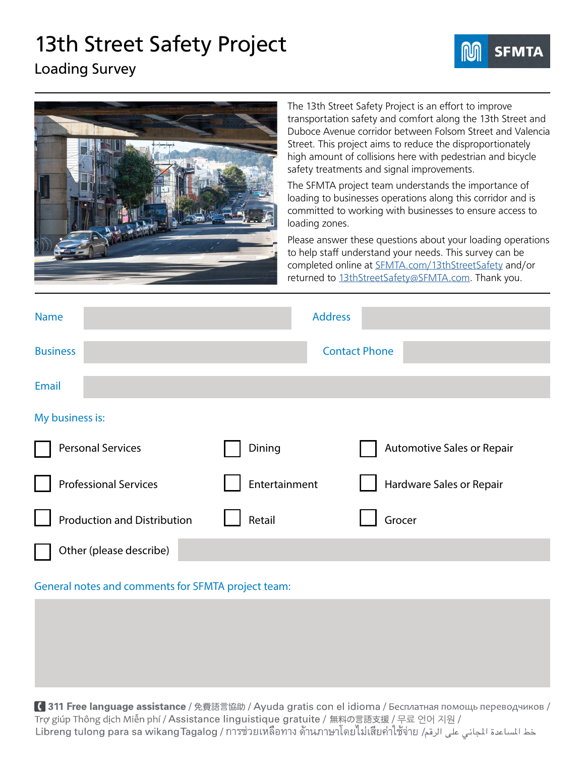## 13th Street Safety Project



Loading Survey



The 13th Street Safety Project is an effort to improve transportation safety and comfort along the 13th Street and Duboce Avenue corridor between Folsom Street and Valencia Street. This project aims to reduce the disproportionately high amount of collisions here with pedestrian and bicycle safety treatments and signal improvements.

The SFMTA project team understands the importance of loading to businesses operations along this corridor and is committed to working with businesses to ensure access to loading zones.

Please answer these questions about your loading operations to help staff understand your needs. This survey can be completed online at [SFMTA.com/13thStreetSafety](http://SFMTA.com/13thStreetSafety) and/or returned to 13thStreetSafet[y@SFMTA.com.](mailto:13thstreetsafety%40sfmta.com?subject=13th%20Street%20Loading%20Survey) Thank you.

| <b>Name</b>                        | <b>Address</b> |                                   |
|------------------------------------|----------------|-----------------------------------|
| <b>Business</b>                    |                | <b>Contact Phone</b>              |
| <b>Email</b>                       |                |                                   |
| My business is:                    |                |                                   |
| <b>Personal Services</b>           | Dining         | <b>Automotive Sales or Repair</b> |
| <b>Professional Services</b>       | Entertainment  | Hardware Sales or Repair          |
| <b>Production and Distribution</b> | Retail         | Grocer                            |
| Other (please describe)            |                |                                   |

## General notes and comments for SFMTA project team:

【311 Free language assistance / 免費語言協助 / Ayuda gratis con el idioma / Бесплатная помощь переводчиков / Trợ giúp Thông dịch Miễn phí / Assistance linguistique gratuite / 無料の言語支援 / 무료 언어 지원 / خط الساعدة الجاني على الرقم/ Libreng tulong para sa wikangTagalog / การช่วยเหลือทาง ด้านภาษาโดยไม่เสียค่าใช้จ่าย